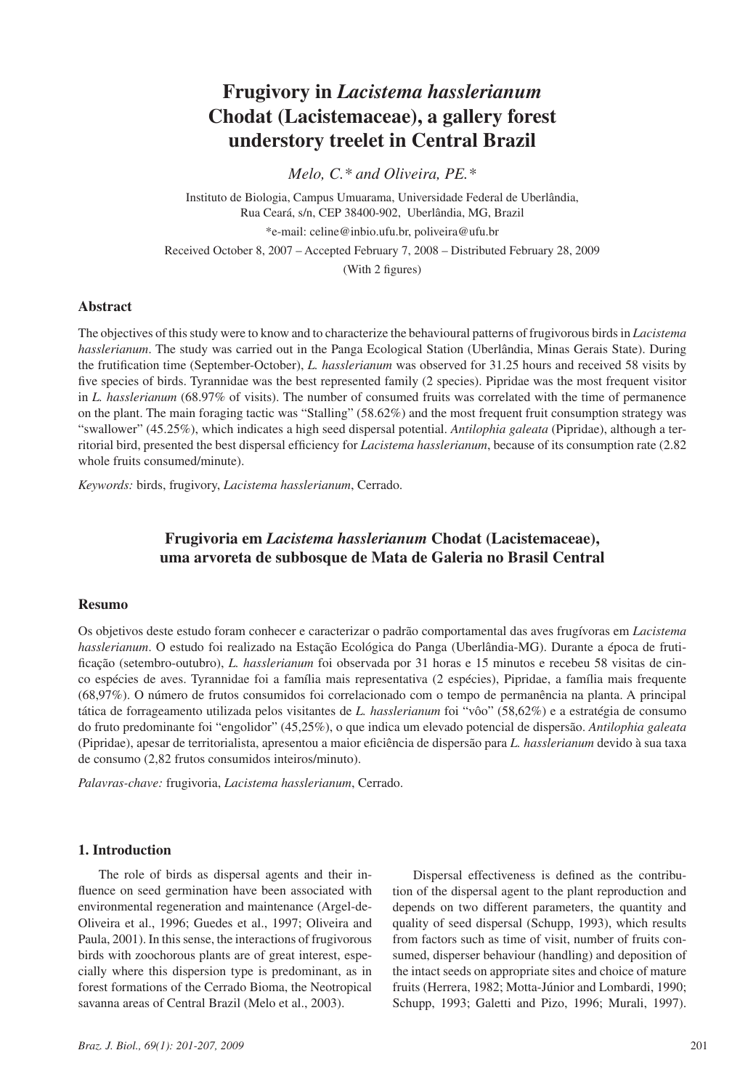# **Frugivory in** *Lacistema hasslerianum*  **Chodat (Lacistemaceae), a gallery forest understory treelet in Central Brazil**

*Melo, C.\* and Oliveira, PE.\**

Instituto de Biologia, Campus Umuarama, Universidade Federal de Uberlândia, Rua Ceará, s/n, CEP 38400-902, Uberlândia, MG, Brazil \*e-mail: celine@inbio.ufu.br, poliveira@ufu.br Received October 8, 2007 – Accepted February 7, 2008 – Distributed February 28, 2009 (With 2 figures)

## **Abstract**

The objectives of this study were to know and to characterize the behavioural patterns of frugivorous birds in *Lacistema hasslerianum*. The study was carried out in the Panga Ecological Station (Uberlândia, Minas Gerais State). During the frutification time (September-October), *L. hasslerianum* was observed for 31.25 hours and received 58 visits by five species of birds. Tyrannidae was the best represented family (2 species). Pipridae was the most frequent visitor in *L. hasslerianum* (68.97% of visits). The number of consumed fruits was correlated with the time of permanence on the plant. The main foraging tactic was "Stalling" (58.62%) and the most frequent fruit consumption strategy was "swallower" (45.25%), which indicates a high seed dispersal potential. *Antilophia galeata* (Pipridae), although a territorial bird, presented the best dispersal efficiency for *Lacistema hasslerianum*, because of its consumption rate (2.82 whole fruits consumed/minute).

*Keywords:* birds, frugivory, *Lacistema hasslerianum*, Cerrado.

## **Frugivoria em** *Lacistema hasslerianum* **Chodat (Lacistemaceae), uma arvoreta de subbosque de Mata de Galeria no Brasil Central**

## **Resumo**

Os objetivos deste estudo foram conhecer e caracterizar o padrão comportamental das aves frugívoras em *Lacistema hasslerianum*. O estudo foi realizado na Estação Ecológica do Panga (Uberlândia-MG). Durante a época de frutificação (setembro-outubro), *L. hasslerianum* foi observada por 31 horas e 15 minutos e recebeu 58 visitas de cinco espécies de aves. Tyrannidae foi a família mais representativa (2 espécies), Pipridae, a família mais frequente (68,97%). O número de frutos consumidos foi correlacionado com o tempo de permanência na planta. A principal tática de forrageamento utilizada pelos visitantes de *L. hasslerianum* foi "vôo" (58,62%) e a estratégia de consumo do fruto predominante foi "engolidor" (45,25%), o que indica um elevado potencial de dispersão. *Antilophia galeata*  (Pipridae), apesar de territorialista, apresentou a maior eficiência de dispersão para *L. hasslerianum* devido à sua taxa de consumo (2,82 frutos consumidos inteiros/minuto).

*Palavras-chave:* frugivoria, *Lacistema hasslerianum*, Cerrado.

## **1. Introduction**

The role of birds as dispersal agents and their influence on seed germination have been associated with environmental regeneration and maintenance (Argel-de-Oliveira et al., 1996; Guedes et al., 1997; Oliveira and Paula, 2001). In this sense, the interactions of frugivorous birds with zoochorous plants are of great interest, especially where this dispersion type is predominant, as in forest formations of the Cerrado Bioma, the Neotropical savanna areas of Central Brazil (Melo et al., 2003).

Dispersal effectiveness is defined as the contribution of the dispersal agent to the plant reproduction and depends on two different parameters, the quantity and quality of seed dispersal (Schupp, 1993), which results from factors such as time of visit, number of fruits consumed, disperser behaviour (handling) and deposition of the intact seeds on appropriate sites and choice of mature fruits (Herrera, 1982; Motta-Júnior and Lombardi, 1990; Schupp, 1993; Galetti and Pizo, 1996; Murali, 1997).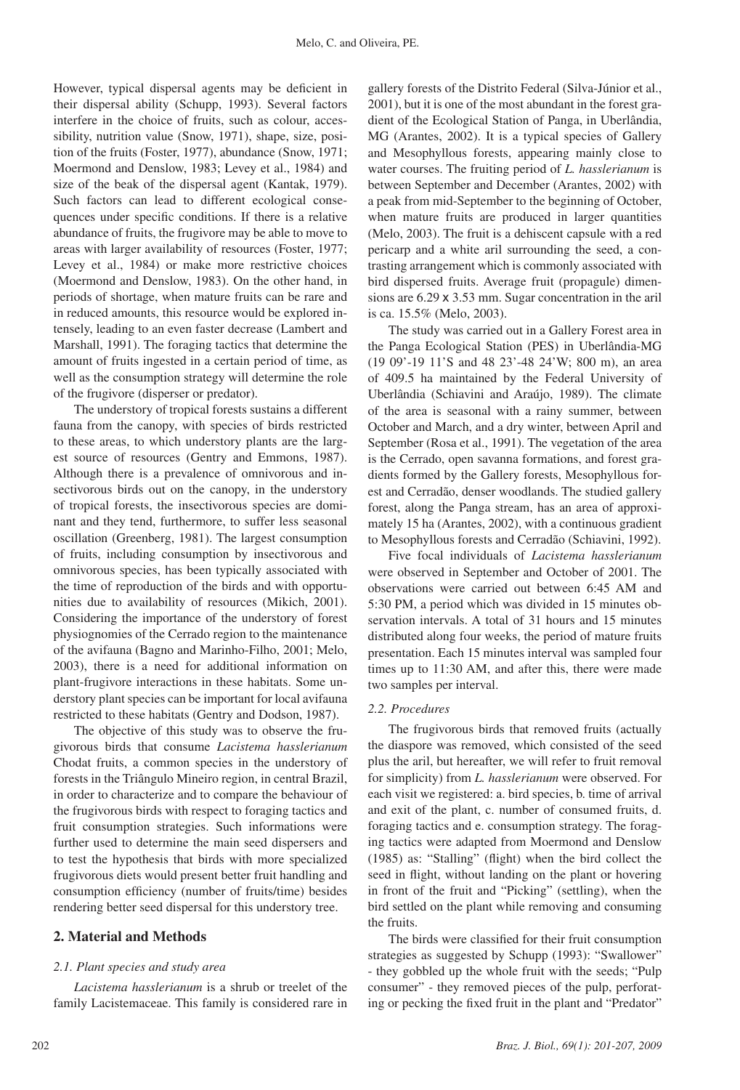However, typical dispersal agents may be deficient in their dispersal ability (Schupp, 1993). Several factors interfere in the choice of fruits, such as colour, accessibility, nutrition value (Snow, 1971), shape, size, position of the fruits (Foster, 1977), abundance (Snow, 1971; Moermond and Denslow, 1983; Levey et al., 1984) and size of the beak of the dispersal agent (Kantak, 1979). Such factors can lead to different ecological consequences under specific conditions. If there is a relative abundance of fruits, the frugivore may be able to move to areas with larger availability of resources (Foster, 1977; Levey et al., 1984) or make more restrictive choices (Moermond and Denslow, 1983). On the other hand, in periods of shortage, when mature fruits can be rare and in reduced amounts, this resource would be explored intensely, leading to an even faster decrease (Lambert and Marshall, 1991). The foraging tactics that determine the amount of fruits ingested in a certain period of time, as well as the consumption strategy will determine the role of the frugivore (disperser or predator).

The understory of tropical forests sustains a different fauna from the canopy, with species of birds restricted to these areas, to which understory plants are the largest source of resources (Gentry and Emmons, 1987). Although there is a prevalence of omnivorous and insectivorous birds out on the canopy, in the understory of tropical forests, the insectivorous species are dominant and they tend, furthermore, to suffer less seasonal oscillation (Greenberg, 1981). The largest consumption of fruits, including consumption by insectivorous and omnivorous species, has been typically associated with the time of reproduction of the birds and with opportunities due to availability of resources (Mikich, 2001). Considering the importance of the understory of forest physiognomies of the Cerrado region to the maintenance of the avifauna (Bagno and Marinho-Filho, 2001; Melo, 2003), there is a need for additional information on plant-frugivore interactions in these habitats. Some understory plant species can be important for local avifauna restricted to these habitats (Gentry and Dodson, 1987).

The objective of this study was to observe the frugivorous birds that consume *Lacistema hasslerianum*  Chodat fruits, a common species in the understory of forests in the Triângulo Mineiro region, in central Brazil, in order to characterize and to compare the behaviour of the frugivorous birds with respect to foraging tactics and fruit consumption strategies. Such informations were further used to determine the main seed dispersers and to test the hypothesis that birds with more specialized frugivorous diets would present better fruit handling and consumption efficiency (number of fruits/time) besides rendering better seed dispersal for this understory tree.

## **2. Material and Methods**

#### *2.1. Plant species and study area*

*Lacistema hasslerianum* is a shrub or treelet of the family Lacistemaceae. This family is considered rare in gallery forests of the Distrito Federal (Silva-Júnior et al., 2001), but it is one of the most abundant in the forest gradient of the Ecological Station of Panga, in Uberlândia, MG (Arantes, 2002). It is a typical species of Gallery and Mesophyllous forests, appearing mainly close to water courses. The fruiting period of *L. hasslerianum* is between September and December (Arantes, 2002) with a peak from mid-September to the beginning of October, when mature fruits are produced in larger quantities (Melo, 2003). The fruit is a dehiscent capsule with a red pericarp and a white aril surrounding the seed, a contrasting arrangement which is commonly associated with bird dispersed fruits. Average fruit (propagule) dimensions are 6.29 x 3.53 mm. Sugar concentration in the aril is ca. 15.5% (Melo, 2003).

The study was carried out in a Gallery Forest area in the Panga Ecological Station (PES) in Uberlândia-MG (19 09'-19 11'S and 48 23'-48 24'W; 800 m), an area of 409.5 ha maintained by the Federal University of Uberlândia (Schiavini and Araújo, 1989). The climate of the area is seasonal with a rainy summer, between October and March, and a dry winter, between April and September (Rosa et al., 1991). The vegetation of the area is the Cerrado, open savanna formations, and forest gradients formed by the Gallery forests, Mesophyllous forest and Cerradão, denser woodlands. The studied gallery forest, along the Panga stream, has an area of approximately 15 ha (Arantes, 2002), with a continuous gradient to Mesophyllous forests and Cerradão (Schiavini, 1992).

Five focal individuals of *Lacistema hasslerianum*  were observed in September and October of 2001. The observations were carried out between 6:45 AM and 5:30 PM, a period which was divided in 15 minutes observation intervals. A total of 31 hours and 15 minutes distributed along four weeks, the period of mature fruits presentation. Each 15 minutes interval was sampled four times up to 11:30 AM, and after this, there were made two samples per interval.

#### *2.2. Procedures*

The frugivorous birds that removed fruits (actually the diaspore was removed, which consisted of the seed plus the aril, but hereafter, we will refer to fruit removal for simplicity) from *L. hasslerianum* were observed. For each visit we registered: a. bird species, b. time of arrival and exit of the plant, c. number of consumed fruits, d. foraging tactics and e. consumption strategy. The foraging tactics were adapted from Moermond and Denslow (1985) as: "Stalling" (flight) when the bird collect the seed in flight, without landing on the plant or hovering in front of the fruit and "Picking" (settling), when the bird settled on the plant while removing and consuming the fruits.

The birds were classified for their fruit consumption strategies as suggested by Schupp (1993): "Swallower" - they gobbled up the whole fruit with the seeds; "Pulp consumer" - they removed pieces of the pulp, perforating or pecking the fixed fruit in the plant and "Predator"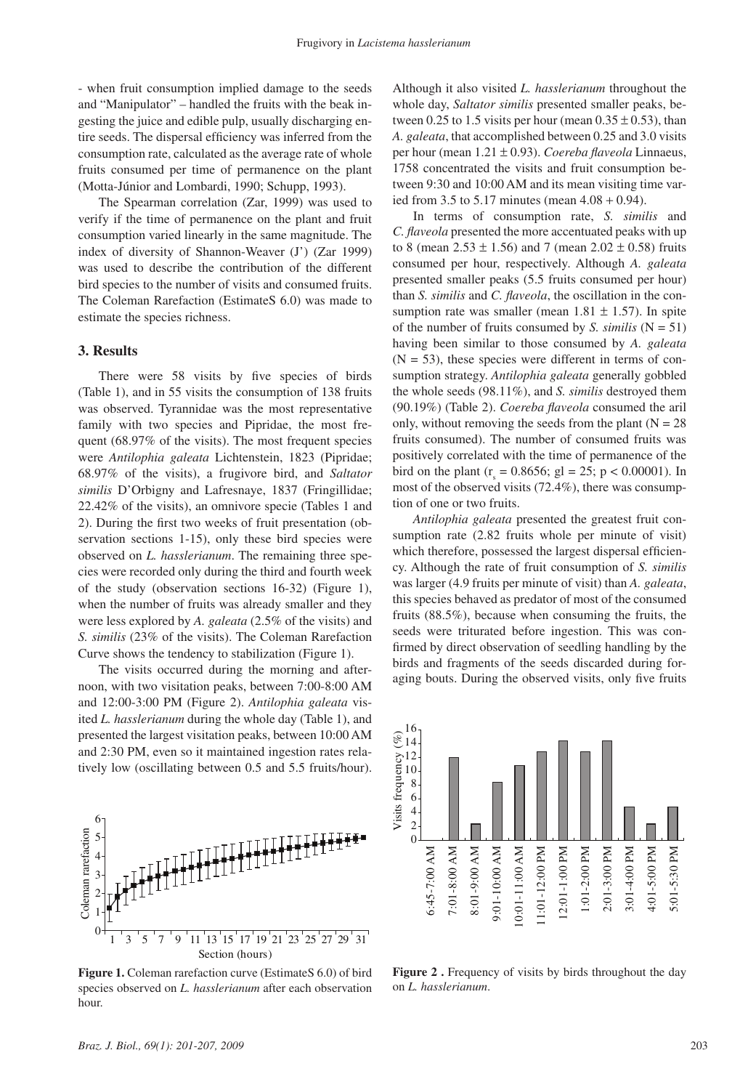- when fruit consumption implied damage to the seeds and "Manipulator" – handled the fruits with the beak ingesting the juice and edible pulp, usually discharging entire seeds. The dispersal efficiency was inferred from the consumption rate, calculated as the average rate of whole fruits consumed per time of permanence on the plant (Motta-Júnior and Lombardi, 1990; Schupp, 1993).

The Spearman correlation (Zar, 1999) was used to verify if the time of permanence on the plant and fruit consumption varied linearly in the same magnitude. The index of diversity of Shannon-Weaver (J') (Zar 1999) was used to describe the contribution of the different bird species to the number of visits and consumed fruits. The Coleman Rarefaction (EstimateS 6.0) was made to estimate the species richness.

#### **3. Results**

There were 58 visits by five species of birds (Table 1), and in 55 visits the consumption of 138 fruits was observed. Tyrannidae was the most representative family with two species and Pipridae, the most frequent (68.97% of the visits). The most frequent species were *Antilophia galeata* Lichtenstein, 1823 (Pipridae; 68.97% of the visits), a frugivore bird, and *Saltator similis* D'Orbigny and Lafresnaye, 1837 (Fringillidae; 22.42% of the visits), an omnivore specie (Tables 1 and 2). During the first two weeks of fruit presentation (observation sections 1-15), only these bird species were observed on *L. hasslerianum*. The remaining three species were recorded only during the third and fourth week of the study (observation sections 16-32) (Figure 1), when the number of fruits was already smaller and they were less explored by *A. galeata* (2.5% of the visits) and *S. similis* (23% of the visits). The Coleman Rarefaction Curve shows the tendency to stabilization (Figure 1).

The visits occurred during the morning and afternoon, with two visitation peaks, between 7:00-8:00 AM and 12:00-3:00 PM (Figure 2). *Antilophia galeata* visited *L. hasslerianum* during the whole day (Table 1), and presented the largest visitation peaks, between 10:00 AM and 2:30 PM, even so it maintained ingestion rates relatively low (oscillating between 0.5 and 5.5 fruits/hour).



Figure 1. Coleman rarefaction curve (EstimateS 6.0) of bird species observed on *L. hasslerianum* after each observation hour.

Although it also visited *L. hasslerianum* throughout the whole day, *Saltator similis* presented smaller peaks, between 0.25 to 1.5 visits per hour (mean  $0.35 \pm 0.53$ ), than *A. galeata*, that accomplished between 0.25 and 3.0 visits per hour (mean 1.21 ± 0.93). *Coereba flaveola* Linnaeus, 1758 concentrated the visits and fruit consumption between 9:30 and 10:00 AM and its mean visiting time varied from 3.5 to 5.17 minutes (mean 4.08 + 0.94).

In terms of consumption rate, *S. similis* and *C. flaveola* presented the more accentuated peaks with up to 8 (mean  $2.53 \pm 1.56$ ) and 7 (mean  $2.02 \pm 0.58$ ) fruits consumed per hour, respectively. Although *A. galeata*  presented smaller peaks (5.5 fruits consumed per hour) than *S. similis* and *C. flaveola*, the oscillation in the consumption rate was smaller (mean  $1.81 \pm 1.57$ ). In spite of the number of fruits consumed by *S. similis*  $(N = 51)$ having been similar to those consumed by *A. galeata*   $(N = 53)$ , these species were different in terms of consumption strategy. *Antilophia galeata* generally gobbled the whole seeds (98.11%), and *S. similis* destroyed them (90.19%) (Table 2). *Coereba flaveola* consumed the aril only, without removing the seeds from the plant  $(N = 28)$ fruits consumed). The number of consumed fruits was positively correlated with the time of permanence of the bird on the plant ( $r_s = 0.8656$ ; gl = 25; p < 0.00001). In most of the observed visits (72.4%), there was consumption of one or two fruits.

*Antilophia galeata* presented the greatest fruit consumption rate (2.82 fruits whole per minute of visit) which therefore, possessed the largest dispersal efficiency. Although the rate of fruit consumption of *S. similis*  was larger (4.9 fruits per minute of visit) than *A. galeata*, this species behaved as predator of most of the consumed fruits (88.5%), because when consuming the fruits, the seeds were triturated before ingestion. This was confirmed by direct observation of seedling handling by the birds and fragments of the seeds discarded during foraging bouts. During the observed visits, only five fruits



Figure 2. Frequency of visits by birds throughout the day on *L. hasslerianum*.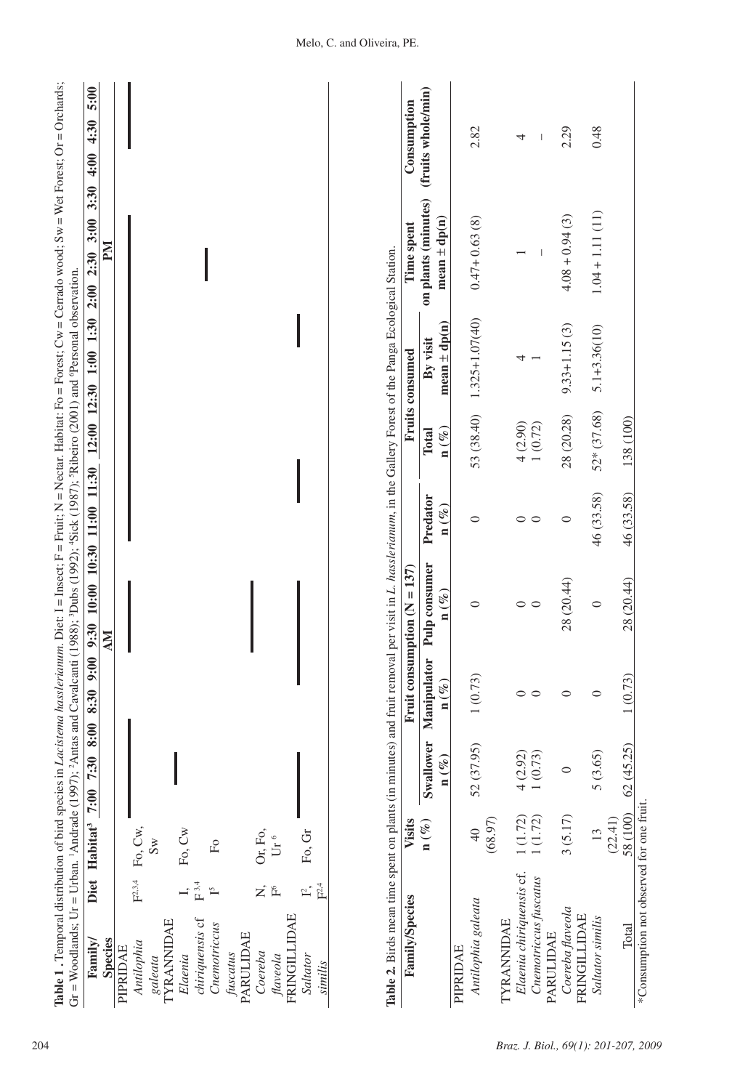| Family                                                 | Diet Habitat <sup>3</sup> 7:00 | 7:30 8:00                     | 9:00<br>8:30                    | 10:00 10:30<br>9:30               | 11:00 11:30                  |                              | 12:00 12:30 1:00 1:30        | 3:30<br>3:00<br>2:30<br>Gr = Woodlands; Ur = Urban. 'Andrade (1997); ?Antas and Cavalcanti (1988); ?Dubs (1992); 'Sick (1987); 'Ribeiro (2001) and 'Personal observation.<br>2:00 | 5:00<br>4:30<br>4:00 |
|--------------------------------------------------------|--------------------------------|-------------------------------|---------------------------------|-----------------------------------|------------------------------|------------------------------|------------------------------|-----------------------------------------------------------------------------------------------------------------------------------------------------------------------------------|----------------------|
| <b>Species</b>                                         |                                |                               |                                 | ÅМ                                |                              |                              |                              | Md                                                                                                                                                                                |                      |
| PIPRIDAE                                               |                                |                               |                                 |                                   |                              |                              |                              |                                                                                                                                                                                   |                      |
| Antilophia                                             | Fo, Cw,<br>$F^{2,3,4}$         |                               |                                 |                                   |                              |                              |                              |                                                                                                                                                                                   |                      |
| galeata                                                | $\mathbb{S}_{\mathbb{W}}$      |                               |                                 |                                   |                              |                              |                              |                                                                                                                                                                                   |                      |
| <b>TYRANNIDAE</b>                                      |                                |                               |                                 |                                   |                              |                              |                              |                                                                                                                                                                                   |                      |
| Elaenia                                                | Fo, Cw                         |                               |                                 |                                   |                              |                              |                              |                                                                                                                                                                                   |                      |
| $\mathbb{F}^{\,3,4}$<br>$\Gamma$<br>chiriquensis cf    | $_{\rm Fo}$                    |                               |                                 |                                   |                              |                              |                              |                                                                                                                                                                                   |                      |
| Cnemotriccus                                           |                                |                               |                                 |                                   |                              |                              |                              |                                                                                                                                                                                   |                      |
| PARULIDAE<br>fuscatus                                  |                                |                               |                                 |                                   |                              |                              |                              |                                                                                                                                                                                   |                      |
| Ż,<br>Coereba                                          | Or, Fo,                        |                               |                                 |                                   |                              |                              |                              |                                                                                                                                                                                   |                      |
|                                                        |                                |                               |                                 |                                   |                              |                              |                              |                                                                                                                                                                                   |                      |
| $\widetilde{\mathbb{E}}^6$<br>FRINGILLIDAE<br>flaveola | Ur $^6$                        |                               |                                 |                                   |                              |                              |                              |                                                                                                                                                                                   |                      |
|                                                        |                                |                               |                                 |                                   |                              |                              |                              |                                                                                                                                                                                   |                      |
| F <sup>2,4</sup><br>$\Gamma,$<br>Saltator<br>similis   | Fo, Gr                         |                               |                                 |                                   |                              |                              |                              |                                                                                                                                                                                   |                      |
| Family/Species                                         | Visits                         |                               |                                 | Fruit consumption ( $N = 137$ )   |                              |                              | Fruits consumed              | Time spent                                                                                                                                                                        | Consumption          |
|                                                        | $\mathbf{n}(\%)$               |                               |                                 |                                   |                              |                              |                              |                                                                                                                                                                                   | (fruits whole/min)   |
|                                                        |                                | Swallower<br>$\mathbf{n}(\%)$ | Manipulator<br>$\mathbf{n}(\%)$ | Pulp consumer<br>$\mathbf{n}(\%)$ | Predator<br>$\mathbf{n}(\%)$ | $n\left(\% \right)$<br>Total | $mean \pm dp(n)$<br>By visit | on plants (minutes)<br>$mean \pm dp(n)$                                                                                                                                           |                      |
| PIPRIDAE                                               |                                |                               |                                 |                                   |                              |                              |                              |                                                                                                                                                                                   |                      |
| Antilophia galeata                                     | (68.97)<br>$\overline{40}$     | 52 (37.95)                    | 1(0.73)                         | 0                                 | $\circ$                      | 53 (38.40)                   | $1.325 + 1.07(40)$           | $0.47 + 0.63(8)$                                                                                                                                                                  | 2.82                 |
| <b><i>TYRANNIDAE</i></b>                               |                                |                               |                                 |                                   |                              |                              |                              |                                                                                                                                                                                   |                      |
| Elaenia chiriquensis cf.                               | 1(1.72)                        | 4(2.92)                       | $\circ$                         |                                   | $\circ$                      | 4(2.90)                      | ↤                            |                                                                                                                                                                                   | 4                    |
| Cnemotriccus fuscatus                                  | 1(1.72)                        | 1(0.73)                       | $\circ$                         | $\circ$ $\circ$                   | $\circ$                      | 1(0.72)                      |                              |                                                                                                                                                                                   |                      |
| PARULIDAE                                              |                                |                               |                                 |                                   |                              |                              |                              |                                                                                                                                                                                   |                      |
| Coereba flaveola<br><b>FRINGILLIDAE</b>                | 3(5.17)                        | $\circ$                       | $\circ$                         | 28 (20.44)                        | $\circ$                      | 28 (20.28)                   | $9.33 + 1.15(3)$             | $4.08 + 0.94(3)$                                                                                                                                                                  | 2.29                 |
| Saltator similis                                       | 13                             | 5(3.65)                       | $\circ$                         | $\circ$                           | 46 (33.58)                   | 52* (37.68)                  | $5.1 + 3.36(10)$             | $1.04 + 1.11(11)$                                                                                                                                                                 | 0.48                 |
|                                                        | (22.41)                        |                               |                                 |                                   |                              |                              |                              |                                                                                                                                                                                   |                      |
| Total                                                  | 58 (100)                       | 62(45.25)                     | 1(0.73)                         | 28 (20.44)                        | 46 (33.58)                   | 138 (100)                    |                              |                                                                                                                                                                                   |                      |

| į                  |                     |
|--------------------|---------------------|
|                    |                     |
|                    |                     |
| íi<br>l            |                     |
| i                  |                     |
| i<br>į             |                     |
| I                  |                     |
|                    |                     |
| Ľ                  |                     |
| ł                  |                     |
|                    |                     |
|                    |                     |
|                    |                     |
|                    |                     |
| $\mathsf{II}$      |                     |
| ֦֖֖֚֚֚֝֬ <u>֓</u>  |                     |
| HOTO-T             |                     |
| ļ                  | I                   |
| $\mathbf{u}$       |                     |
|                    | l                   |
|                    |                     |
|                    |                     |
| i                  |                     |
| ì<br>ď             | ļ                   |
| $\frac{2}{1}$      |                     |
|                    |                     |
| .<br>EFFI          |                     |
| I                  |                     |
| $\frac{1}{1}$<br>ļ | ۱                   |
| i                  |                     |
| l<br>$\mathbf{I}$  |                     |
|                    |                     |
|                    |                     |
| ļ                  |                     |
|                    |                     |
|                    |                     |
| ļ                  |                     |
|                    | l                   |
| bllio              | and                 |
| ļ                  | l                   |
|                    |                     |
|                    | ı                   |
|                    | į                   |
| ı                  |                     |
|                    |                     |
|                    |                     |
|                    |                     |
|                    |                     |
| ļ<br>i             |                     |
|                    | I<br>l              |
|                    |                     |
|                    |                     |
|                    |                     |
|                    |                     |
|                    | $\overline{1}$<br>I |
|                    |                     |

| ε                        |  |
|--------------------------|--|
| ₹                        |  |
| ₹                        |  |
|                          |  |
|                          |  |
| ļ<br>I                   |  |
|                          |  |
| ļ                        |  |
|                          |  |
|                          |  |
|                          |  |
|                          |  |
| $\overline{\phantom{a}}$ |  |
| i                        |  |
| ļ<br>ļ                   |  |
|                          |  |
| į                        |  |
|                          |  |
| š                        |  |
|                          |  |
|                          |  |
|                          |  |
|                          |  |
|                          |  |
|                          |  |
|                          |  |
|                          |  |
|                          |  |
|                          |  |
|                          |  |
|                          |  |
|                          |  |
|                          |  |
|                          |  |
|                          |  |
|                          |  |
|                          |  |
|                          |  |
|                          |  |
|                          |  |
| l                        |  |
|                          |  |
|                          |  |
|                          |  |
|                          |  |
|                          |  |
|                          |  |
| ļ<br>1                   |  |
|                          |  |
| ă<br>ಡ                   |  |
|                          |  |

| <b>Family/Species</b>                    | Visits              |                     |                  | Fruit consumption $(N = 137)$                    |                                                  |                                     | <b>Fruits consumed</b>       | Time spent                             | Consumption |
|------------------------------------------|---------------------|---------------------|------------------|--------------------------------------------------|--------------------------------------------------|-------------------------------------|------------------------------|----------------------------------------|-------------|
|                                          | $n\left(\% \right)$ | Swallower           |                  | Manipulator Pulp consumer                        | Predator                                         | <b>Total</b>                        | By visit                     | on plants (minutes) (fruits whole/min) |             |
|                                          |                     | $\mathbf{n}$ (%)    | $\mathbf{n}$ (%) | $n\left(\frac{\partial V}{\partial \rho}\right)$ | $n\left(\frac{\partial V}{\partial \rho}\right)$ | $n\left(\frac{\sigma}{\ell}\right)$ | mean $\pm$ dp(n)             | mean $\pm$ dp(n)                       |             |
| PIPRIDAE                                 |                     |                     |                  |                                                  |                                                  |                                     |                              |                                        |             |
| Antilophia galeata                       | $\frac{1}{4}$       | 52 (37.95)          | 1(0.73)          |                                                  |                                                  |                                     | $53(38.40)$ $1.325+1.07(40)$ | $0.47 + 0.63(8)$                       | 2.82        |
|                                          | (68.97)             |                     |                  |                                                  |                                                  |                                     |                              |                                        |             |
| <b>TYRANNIDAE</b>                        |                     |                     |                  |                                                  |                                                  |                                     |                              |                                        |             |
| Elaenia chiriquensis cf. 1 (1.72)        |                     | 4 (2.92)            |                  |                                                  |                                                  | 4(2.90)                             |                              |                                        |             |
| Cnemotriccus fuscatus                    | (1.72)              | 1(0.73)             |                  |                                                  |                                                  | 1(0.72)                             |                              |                                        | I           |
| PARULIDAE                                |                     |                     |                  |                                                  |                                                  |                                     |                              |                                        |             |
| Coereba flaveola                         | 3(5.17)             |                     |                  | 28 (20.44)                                       |                                                  | 28 (20.28)                          | $9.33 + 1.15(3)$             | $4.08 + 0.94(3)$                       | 2.29        |
| <b>FRINGILLIDAE</b>                      |                     |                     |                  |                                                  |                                                  |                                     |                              |                                        |             |
| Saltator similis                         | $\frac{13}{2}$      | 5(3.65)             |                  |                                                  | 46 (33.58)                                       |                                     | $52*(37.68)$ $5.1+3.36(10)$  | $1.04 + 1.11(11)$                      | 0.48        |
|                                          | (22.41)             |                     |                  |                                                  |                                                  |                                     |                              |                                        |             |
| Total                                    |                     | 58 (100) 62 (45.25) | 1(0.73)          | 28 (20.44)                                       | 46 (33.58)                                       | 138 (100)                           |                              |                                        |             |
| *Consumption not observed for one fruit. |                     |                     |                  |                                                  |                                                  |                                     |                              |                                        |             |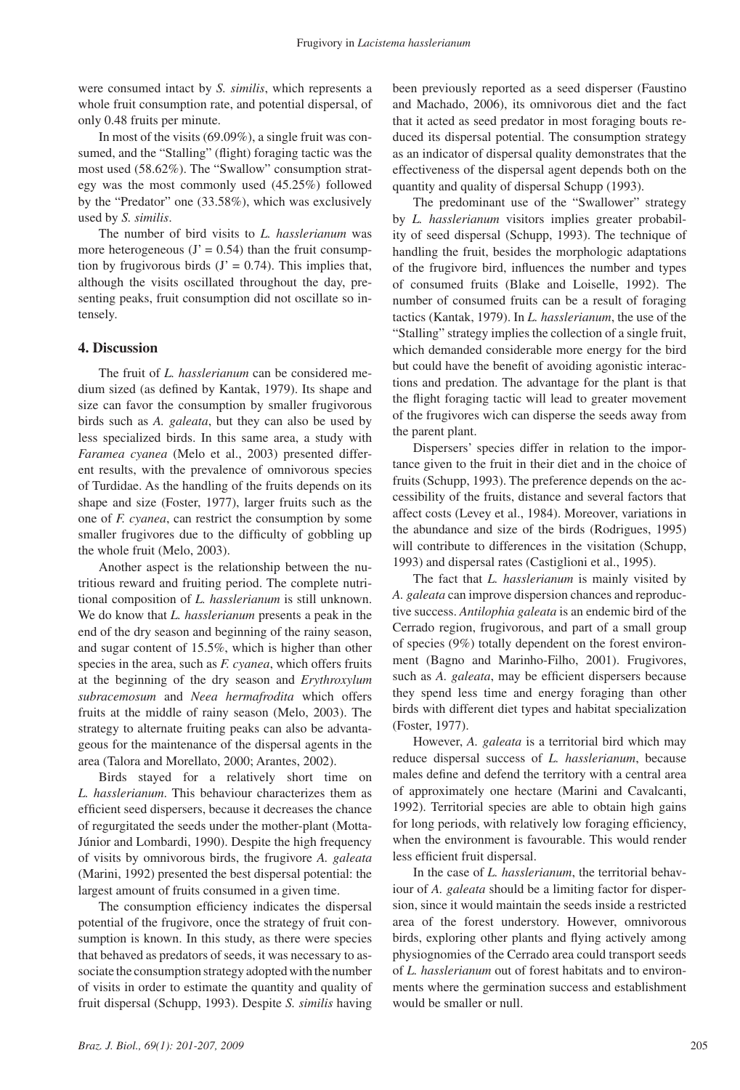were consumed intact by *S. similis*, which represents a whole fruit consumption rate, and potential dispersal, of only 0.48 fruits per minute.

In most of the visits (69.09%), a single fruit was consumed, and the "Stalling" (flight) foraging tactic was the most used (58.62%). The "Swallow" consumption strategy was the most commonly used (45.25%) followed by the "Predator" one (33.58%), which was exclusively used by *S. similis*.

The number of bird visits to *L. hasslerianum* was more heterogeneous  $(J' = 0.54)$  than the fruit consumption by frugivorous birds  $(J' = 0.74)$ . This implies that, although the visits oscillated throughout the day, presenting peaks, fruit consumption did not oscillate so intensely.

## **4. Discussion**

The fruit of *L. hasslerianum* can be considered medium sized (as defined by Kantak, 1979). Its shape and size can favor the consumption by smaller frugivorous birds such as *A. galeata*, but they can also be used by less specialized birds. In this same area, a study with *Faramea cyanea* (Melo et al., 2003) presented different results, with the prevalence of omnivorous species of Turdidae. As the handling of the fruits depends on its shape and size (Foster, 1977), larger fruits such as the one of *F. cyanea*, can restrict the consumption by some smaller frugivores due to the difficulty of gobbling up the whole fruit (Melo, 2003).

Another aspect is the relationship between the nutritious reward and fruiting period. The complete nutritional composition of *L. hasslerianum* is still unknown. We do know that *L. hasslerianum* presents a peak in the end of the dry season and beginning of the rainy season, and sugar content of 15.5%, which is higher than other species in the area, such as *F. cyanea*, which offers fruits at the beginning of the dry season and *Erythroxylum subracemosum* and *Neea hermafrodita* which offers fruits at the middle of rainy season (Melo, 2003). The strategy to alternate fruiting peaks can also be advantageous for the maintenance of the dispersal agents in the area (Talora and Morellato, 2000; Arantes, 2002).

Birds stayed for a relatively short time on *L. hasslerianum*. This behaviour characterizes them as efficient seed dispersers, because it decreases the chance of regurgitated the seeds under the mother-plant (Motta-Júnior and Lombardi, 1990). Despite the high frequency of visits by omnivorous birds, the frugivore *A. galeata* (Marini, 1992) presented the best dispersal potential: the largest amount of fruits consumed in a given time.

The consumption efficiency indicates the dispersal potential of the frugivore, once the strategy of fruit consumption is known. In this study, as there were species that behaved as predators of seeds, it was necessary to associate the consumption strategy adopted with the number of visits in order to estimate the quantity and quality of fruit dispersal (Schupp, 1993). Despite *S. similis* having

been previously reported as a seed disperser (Faustino and Machado, 2006), its omnivorous diet and the fact that it acted as seed predator in most foraging bouts reduced its dispersal potential. The consumption strategy as an indicator of dispersal quality demonstrates that the effectiveness of the dispersal agent depends both on the quantity and quality of dispersal Schupp (1993).

The predominant use of the "Swallower" strategy by *L. hasslerianum* visitors implies greater probability of seed dispersal (Schupp, 1993). The technique of handling the fruit, besides the morphologic adaptations of the frugivore bird, influences the number and types of consumed fruits (Blake and Loiselle, 1992). The number of consumed fruits can be a result of foraging tactics (Kantak, 1979). In *L. hasslerianum*, the use of the "Stalling" strategy implies the collection of a single fruit, which demanded considerable more energy for the bird but could have the benefit of avoiding agonistic interactions and predation. The advantage for the plant is that the flight foraging tactic will lead to greater movement of the frugivores wich can disperse the seeds away from the parent plant.

Dispersers' species differ in relation to the importance given to the fruit in their diet and in the choice of fruits (Schupp, 1993). The preference depends on the accessibility of the fruits, distance and several factors that affect costs (Levey et al., 1984). Moreover, variations in the abundance and size of the birds (Rodrigues, 1995) will contribute to differences in the visitation (Schupp, 1993) and dispersal rates (Castiglioni et al., 1995).

The fact that *L. hasslerianum* is mainly visited by *A. galeata* can improve dispersion chances and reproductive success. *Antilophia galeata* is an endemic bird of the Cerrado region, frugivorous, and part of a small group of species (9%) totally dependent on the forest environment (Bagno and Marinho-Filho, 2001). Frugivores, such as *A. galeata*, may be efficient dispersers because they spend less time and energy foraging than other birds with different diet types and habitat specialization (Foster, 1977).

However, *A. galeata* is a territorial bird which may reduce dispersal success of *L. hasslerianum*, because males define and defend the territory with a central area of approximately one hectare (Marini and Cavalcanti, 1992). Territorial species are able to obtain high gains for long periods, with relatively low foraging efficiency, when the environment is favourable. This would render less efficient fruit dispersal.

In the case of *L. hasslerianum*, the territorial behaviour of *A. galeata* should be a limiting factor for dispersion, since it would maintain the seeds inside a restricted area of the forest understory. However, omnivorous birds, exploring other plants and flying actively among physiognomies of the Cerrado area could transport seeds of *L. hasslerianum* out of forest habitats and to environments where the germination success and establishment would be smaller or null.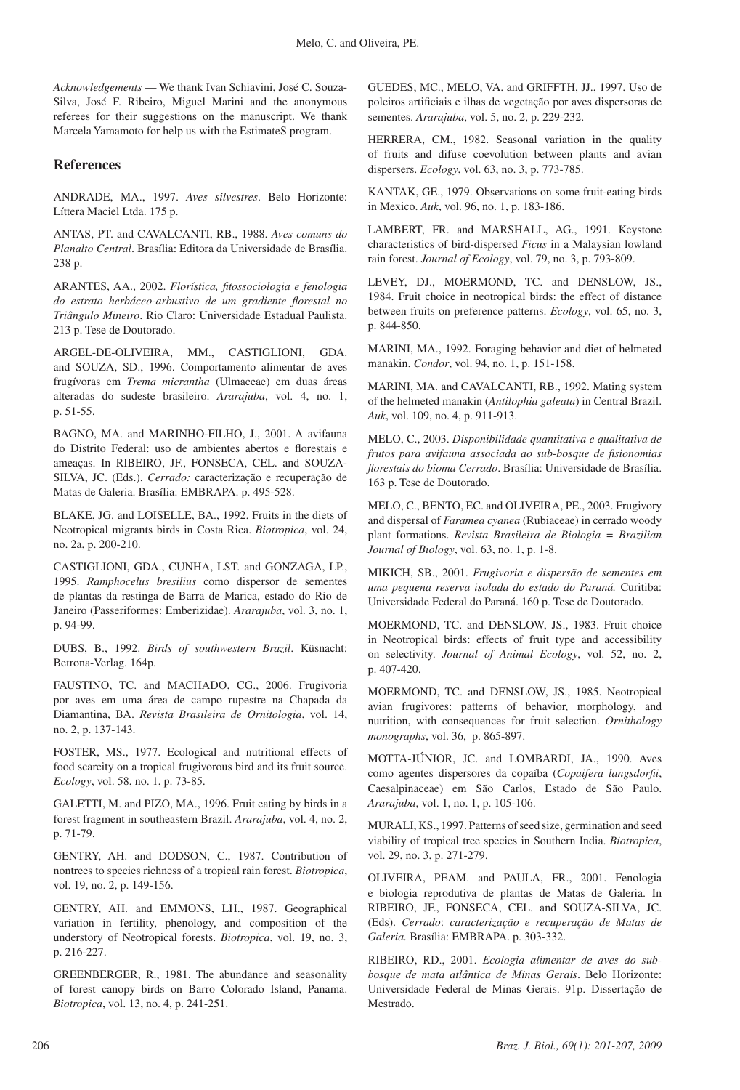*Acknowledgements* — We thank Ivan Schiavini, José C. Souza-Silva, José F. Ribeiro, Miguel Marini and the anonymous referees for their suggestions on the manuscript. We thank Marcela Yamamoto for help us with the EstimateS program.

## **References**

ANDRADE, MA., 1997. *Aves silvestres*. Belo Horizonte: Líttera Maciel Ltda. 175 p.

ANTAS, PT. and CAVALCANTI, RB., 1988. *Aves comuns do Planalto Central*. Brasília: Editora da Universidade de Brasília. 238 p.

ARANTES, AA., 2002. *Florística, fitossociologia e fenologia do estrato herbáceo-arbustivo de um gradiente florestal no Triângulo Mineiro*. Rio Claro: Universidade Estadual Paulista. 213 p. Tese de Doutorado.

ARGEL-DE-OLIVEIRA, MM., CASTIGLIONI, GDA. and SOUZA, SD., 1996. Comportamento alimentar de aves frugívoras em *Trema micrantha* (Ulmaceae) em duas áreas alteradas do sudeste brasileiro. *Ararajuba*, vol. 4, no. 1, p. 51-55.

BAGNO, MA. and MARINHO-FILHO, J., 2001. A avifauna do Distrito Federal: uso de ambientes abertos e florestais e ameaças. In RIBEIRO, JF., FONSECA, CEL. and SOUZA-SILVA, JC. (Eds.). *Cerrado:* caracterização e recuperação de Matas de Galeria. Brasília: EMBRAPA. p. 495-528.

BLAKE, JG. and LOISELLE, BA., 1992. Fruits in the diets of Neotropical migrants birds in Costa Rica. *Biotropica*, vol. 24, no. 2a, p. 200-210.

CASTIGLIONI, GDA., CUNHA, LST. and GONZAGA, LP., 1995. *Ramphocelus bresilius* como dispersor de sementes de plantas da restinga de Barra de Marica, estado do Rio de Janeiro (Passeriformes: Emberizidae). *Ararajuba*, vol. 3, no. 1, p. 94-99.

DUBS, B., 1992. *Birds of southwestern Brazil*. Küsnacht: Betrona-Verlag. 164p.

FAUSTINO, TC. and MACHADO, CG., 2006. Frugivoria por aves em uma área de campo rupestre na Chapada da Diamantina, BA. *Revista Brasileira de Ornitologia*, vol. 14, no. 2, p. 137-143.

FOSTER, MS., 1977. Ecological and nutritional effects of food scarcity on a tropical frugivorous bird and its fruit source. *Ecology*, vol. 58, no. 1, p. 73-85.

GALETTI, M. and PIZO, MA., 1996. Fruit eating by birds in a forest fragment in southeastern Brazil. *Ararajuba*, vol. 4, no. 2, p. 71-79.

GENTRY, AH. and DODSON, C., 1987. Contribution of nontrees to species richness of a tropical rain forest. *Biotropica*, vol. 19, no. 2, p. 149-156.

GENTRY, AH. and EMMONS, LH., 1987. Geographical variation in fertility, phenology, and composition of the understory of Neotropical forests. *Biotropica*, vol. 19, no. 3, p. 216-227.

GREENBERGER, R., 1981. The abundance and seasonality of forest canopy birds on Barro Colorado Island, Panama. *Biotropica*, vol. 13, no. 4, p. 241-251.

GUEDES, MC., MELO, VA. and GRIFFTH, JJ., 1997. Uso de poleiros artificiais e ilhas de vegetação por aves dispersoras de sementes. *Ararajuba*, vol. 5, no. 2, p. 229-232.

HERRERA, CM., 1982. Seasonal variation in the quality of fruits and difuse coevolution between plants and avian dispersers. *Ecology*, vol. 63, no. 3, p. 773-785.

KANTAK, GE., 1979. Observations on some fruit-eating birds in Mexico. *Auk*, vol. 96, no. 1, p. 183-186.

LAMBERT, FR. and MARSHALL, AG., 1991. Keystone characteristics of bird-dispersed *Ficus* in a Malaysian lowland rain forest. *Journal of Ecology*, vol. 79, no. 3, p. 793-809.

LEVEY, DJ., MOERMOND, TC. and DENSLOW, JS., 1984. Fruit choice in neotropical birds: the effect of distance between fruits on preference patterns. *Ecology*, vol. 65, no. 3, p. 844-850.

MARINI, MA., 1992. Foraging behavior and diet of helmeted manakin. *Condor*, vol. 94, no. 1, p. 151-158.

MARINI, MA. and CAVALCANTI, RB., 1992. Mating system of the helmeted manakin (*Antilophia galeata*) in Central Brazil. *Auk*, vol. 109, no. 4, p. 911-913.

MELO, C., 2003. *Disponibilidade quantitativa e qualitativa de frutos para avifauna associada ao sub-bosque de fisionomias florestais do bioma Cerrado*. Brasília: Universidade de Brasília. 163 p. Tese de Doutorado.

MELO, C., BENTO, EC. and OLIVEIRA, PE., 2003. Frugivory and dispersal of *Faramea cyanea* (Rubiaceae) in cerrado woody plant formations. *Revista Brasileira de Biologia = Brazilian Journal of Biology*, vol. 63, no. 1, p. 1-8.

MIKICH, SB., 2001. *Frugivoria e dispersão de sementes em uma pequena reserva isolada do estado do Paraná.* Curitiba: Universidade Federal do Paraná. 160 p. Tese de Doutorado.

MOERMOND, TC. and DENSLOW, JS., 1983. Fruit choice in Neotropical birds: effects of fruit type and accessibility on selectivity. *Journal of Animal Ecology*, vol. 52, no. 2, p. 407-420.

MOERMOND, TC. and DENSLOW, JS., 1985. Neotropical avian frugivores: patterns of behavior, morphology, and nutrition, with consequences for fruit selection. *Ornithology monographs*, vol. 36, p. 865-897.

MOTTA-JÚNIOR, JC. and LOMBARDI, JA., 1990. Aves como agentes dispersores da copaíba (*Copaifera langsdorfii*, Caesalpinaceae) em São Carlos, Estado de São Paulo. *Ararajuba*, vol. 1, no. 1, p. 105-106.

MURALI, KS., 1997. Patterns of seed size, germination and seed viability of tropical tree species in Southern India. *Biotropica*, vol. 29, no. 3, p. 271-279.

OLIVEIRA, PEAM. and PAULA, FR., 2001. Fenologia e biologia reprodutiva de plantas de Matas de Galeria. In RIBEIRO, JF., FONSECA, CEL. and SOUZA-SILVA, JC. (Eds). *Cerrado*: *caracterização e recuperação de Matas de Galeria.* Brasília: EMBRAPA. p. 303-332.

RIBEIRO, RD., 2001. *Ecologia alimentar de aves do subbosque de mata atlântica de Minas Gerais*. Belo Horizonte: Universidade Federal de Minas Gerais. 91p. Dissertação de Mestrado.